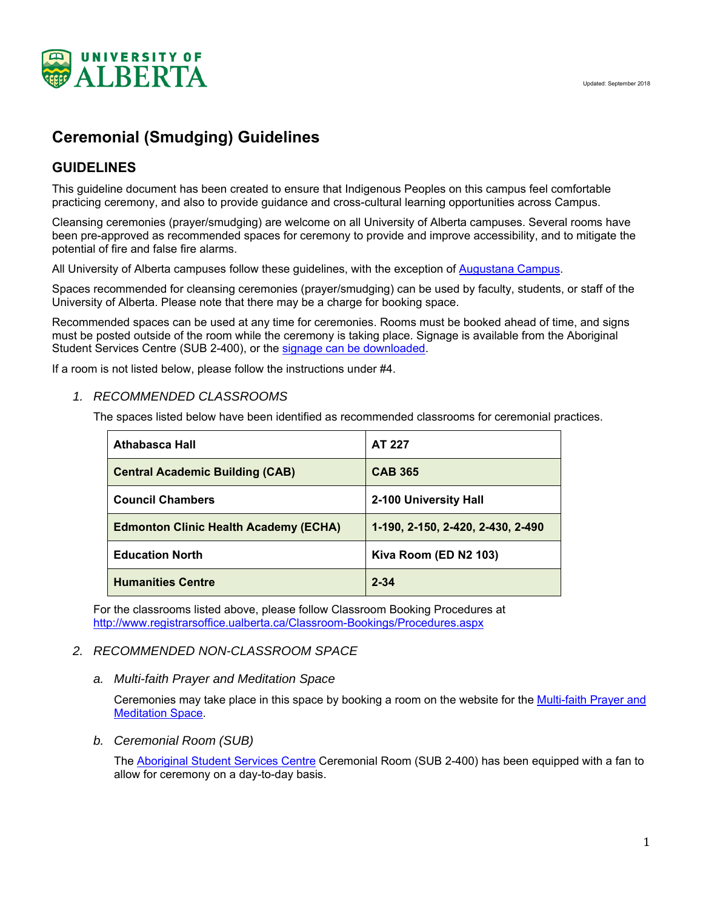

# **Ceremonial (Smudging) Guidelines**

# **GUIDELINES**

This guideline document has been created to ensure that Indigenous Peoples on this campus feel comfortable practicing ceremony, and also to provide guidance and cross-cultural learning opportunities across Campus.

Cleansing ceremonies (prayer/smudging) are welcome on all University of Alberta campuses. Several rooms have been pre-approved as recommended spaces for ceremony to provide and improve accessibility, and to mitigate the potential of fire and false fire alarms.

All University of Alberta campuses follow these guidelines, with the exception of Augustana Campus.

Spaces recommended for cleansing ceremonies (prayer/smudging) can be used by faculty, students, or staff of the University of Alberta. Please note that there may be a charge for booking space.

Recommended spaces can be used at any time for ceremonies. Rooms must be booked ahead of time, and signs must be posted outside of the room while the ceremony is taking place. Signage is available from the Aboriginal Student Services Centre (SUB 2-400), or the signage can be downloaded.

If a room is not listed below, please follow the instructions under #4.

# *1. RECOMMENDED CLASSROOMS*

The spaces listed below have been identified as recommended classrooms for ceremonial practices.

| <b>Athabasca Hall</b>                        | <b>AT 227</b>                     |
|----------------------------------------------|-----------------------------------|
| <b>Central Academic Building (CAB)</b>       | <b>CAB 365</b>                    |
| <b>Council Chambers</b>                      | 2-100 University Hall             |
| <b>Edmonton Clinic Health Academy (ECHA)</b> | 1-190, 2-150, 2-420, 2-430, 2-490 |
| <b>Education North</b>                       | Kiva Room (ED N2 103)             |
| <b>Humanities Centre</b>                     | $2 - 34$                          |

For the classrooms listed above, please follow Classroom Booking Procedures at http://www.registrarsoffice.ualberta.ca/Classroom-Bookings/Procedures.aspx

#### *2. RECOMMENDED NON-CLASSROOM SPACE*

#### *a. Multi-faith Prayer and Meditation Space*

Ceremonies may take place in this space by booking a room on the website for the Multi-faith Prayer and **Meditation Space.** 

*b. Ceremonial Room (SUB)* 

The Aboriginal Student Services Centre Ceremonial Room (SUB 2-400) has been equipped with a fan to allow for ceremony on a day-to-day basis.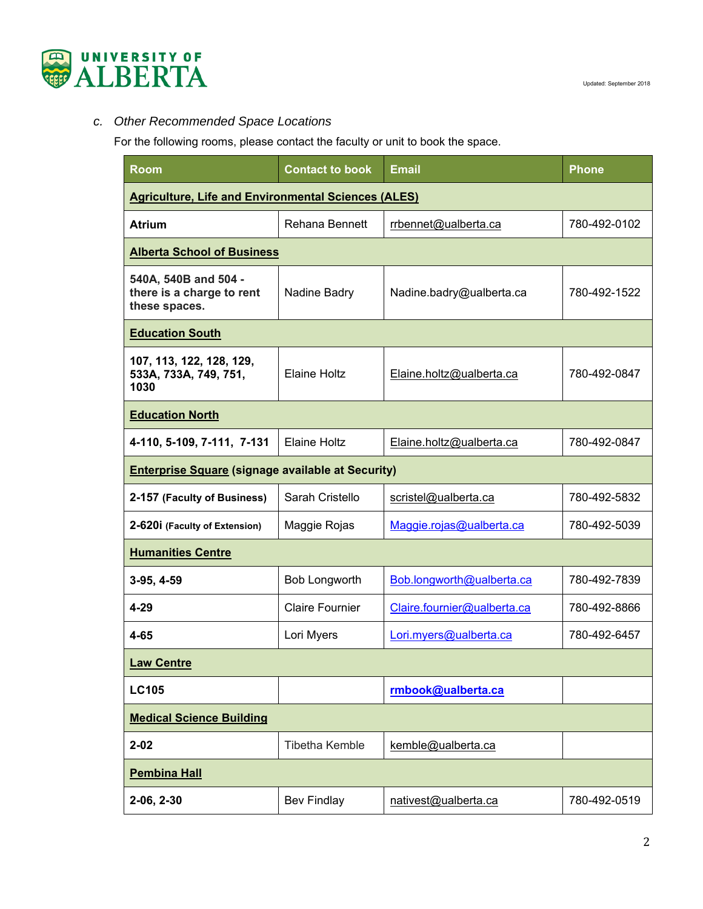

# *c. Other Recommended Space Locations*

For the following rooms, please contact the faculty or unit to book the space.

| <b>Room</b>                                                        | <b>Contact to book</b> | <b>Email</b>                | <b>Phone</b> |  |  |
|--------------------------------------------------------------------|------------------------|-----------------------------|--------------|--|--|
| <b>Agriculture, Life and Environmental Sciences (ALES)</b>         |                        |                             |              |  |  |
| <b>Atrium</b>                                                      | <b>Rehana Bennett</b>  | rrbennet@ualberta.ca        | 780-492-0102 |  |  |
| <b>Alberta School of Business</b>                                  |                        |                             |              |  |  |
| 540A, 540B and 504 -<br>there is a charge to rent<br>these spaces. | Nadine Badry           | Nadine.badry@ualberta.ca    | 780-492-1522 |  |  |
| <b>Education South</b>                                             |                        |                             |              |  |  |
| 107, 113, 122, 128, 129,<br>533A, 733A, 749, 751,<br>1030          | <b>Elaine Holtz</b>    | Elaine.holtz@ualberta.ca    | 780-492-0847 |  |  |
| <b>Education North</b>                                             |                        |                             |              |  |  |
| 4-110, 5-109, 7-111, 7-131                                         | <b>Elaine Holtz</b>    | Elaine.holtz@ualberta.ca    | 780-492-0847 |  |  |
| <b>Enterprise Square (signage available at Security)</b>           |                        |                             |              |  |  |
| 2-157 (Faculty of Business)                                        | Sarah Cristello        | scristel@ualberta.ca        | 780-492-5832 |  |  |
| 2-620i (Faculty of Extension)                                      | Maggie Rojas           | Maggie.rojas@ualberta.ca    | 780-492-5039 |  |  |
| <b>Humanities Centre</b>                                           |                        |                             |              |  |  |
| 3-95, 4-59                                                         | Bob Longworth          | Bob.longworth@ualberta.ca   | 780-492-7839 |  |  |
| $4 - 29$                                                           | <b>Claire Fournier</b> | Claire.fournier@ualberta.ca | 780-492-8866 |  |  |
| 4-65                                                               | Lori Myers             | Lori.myers@ualberta.ca      | 780-492-6457 |  |  |
| <b>Law Centre</b>                                                  |                        |                             |              |  |  |
| <b>LC105</b>                                                       |                        | rmbook@ualberta.ca          |              |  |  |
| <b>Medical Science Building</b>                                    |                        |                             |              |  |  |
| $2 - 02$                                                           | <b>Tibetha Kemble</b>  | kemble@ualberta.ca          |              |  |  |
| <b>Pembina Hall</b>                                                |                        |                             |              |  |  |
| 2-06, 2-30                                                         | <b>Bev Findlay</b>     | nativest@ualberta.ca        | 780-492-0519 |  |  |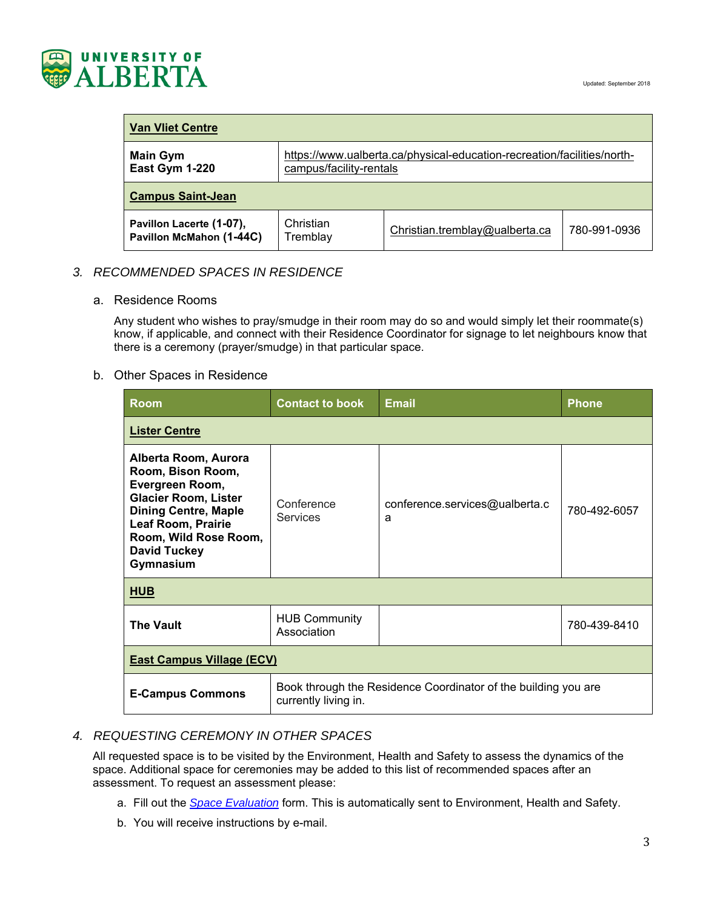

| <b>Van Vliet Centre</b>                              |                                                                                                    |                                |              |  |  |
|------------------------------------------------------|----------------------------------------------------------------------------------------------------|--------------------------------|--------------|--|--|
| <b>Main Gym</b><br>East Gym 1-220                    | https://www.ualberta.ca/physical-education-recreation/facilities/north-<br>campus/facility-rentals |                                |              |  |  |
| <b>Campus Saint-Jean</b>                             |                                                                                                    |                                |              |  |  |
| Pavillon Lacerte (1-07),<br>Pavillon McMahon (1-44C) | Christian<br>Tremblay                                                                              | Christian.tremblay@ualberta.ca | 780-991-0936 |  |  |

# *3. RECOMMENDED SPACES IN RESIDENCE*

#### a. Residence Rooms

Any student who wishes to pray/smudge in their room may do so and would simply let their roommate(s) know, if applicable, and connect with their Residence Coordinator for signage to let neighbours know that there is a ceremony (prayer/smudge) in that particular space.

#### b. Other Spaces in Residence

| <b>Room</b>                                                                                                                                                                                                          | <b>Contact to book</b>                                                                 | <b>Email</b>                        | <b>Phone</b> |  |  |
|----------------------------------------------------------------------------------------------------------------------------------------------------------------------------------------------------------------------|----------------------------------------------------------------------------------------|-------------------------------------|--------------|--|--|
| <b>Lister Centre</b>                                                                                                                                                                                                 |                                                                                        |                                     |              |  |  |
| Alberta Room, Aurora<br>Room, Bison Room,<br>Evergreen Room,<br><b>Glacier Room, Lister</b><br><b>Dining Centre, Maple</b><br><b>Leaf Room, Prairie</b><br>Room, Wild Rose Room,<br><b>David Tuckey</b><br>Gymnasium | Conference<br><b>Services</b>                                                          | conference.services@ualberta.c<br>a | 780-492-6057 |  |  |
| <b>HUB</b>                                                                                                                                                                                                           |                                                                                        |                                     |              |  |  |
| <b>The Vault</b>                                                                                                                                                                                                     | <b>HUB Community</b><br>Association                                                    |                                     | 780-439-8410 |  |  |
| <b>East Campus Village (ECV)</b>                                                                                                                                                                                     |                                                                                        |                                     |              |  |  |
| <b>E-Campus Commons</b>                                                                                                                                                                                              | Book through the Residence Coordinator of the building you are<br>currently living in. |                                     |              |  |  |

# *4. REQUESTING CEREMONY IN OTHER SPACES*

All requested space is to be visited by the Environment, Health and Safety to assess the dynamics of the space. Additional space for ceremonies may be added to this list of recommended spaces after an assessment. To request an assessment please:

- a. Fill out the *Space Evaluation* form. This is automatically sent to Environment, Health and Safety.
- b. You will receive instructions by e-mail.